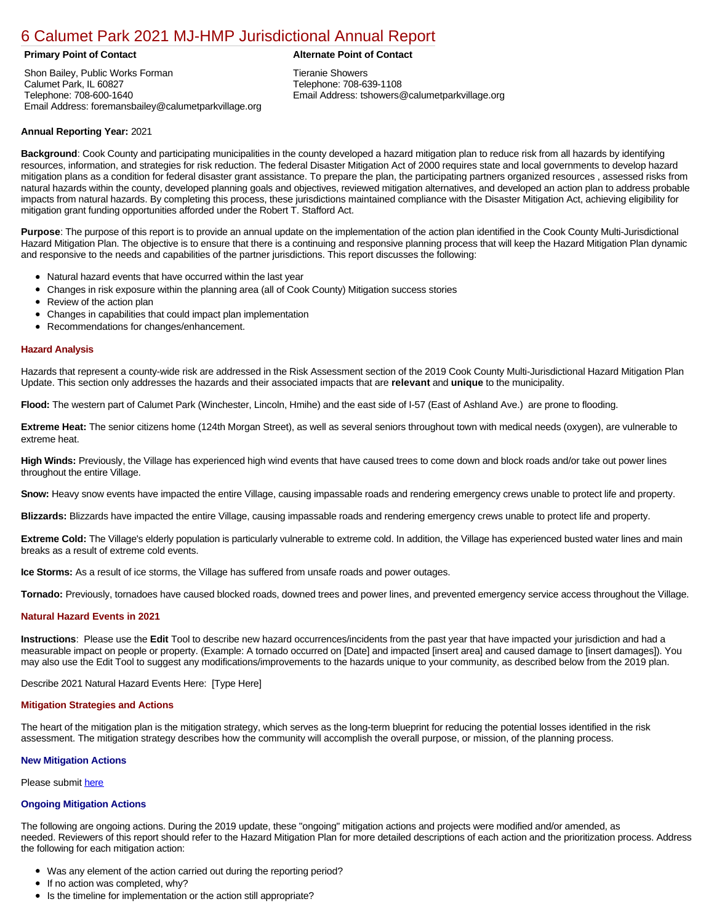# [6 Calumet Park 2021 MJ-HMP Jurisdictional Annual Report](https://calumetpark.isc-cemp.com/Cemp/Details?id=8322821)

Shon Bailey, Public Works Forman Calumet Park, IL 60827 Telephone: 708-600-1640 Email Address: foremansbailey@calumetparkvillage.org

### **Primary Point of Contact Alternate Point of Contact**

Tieranie Showers Telephone: 708-639-1108 Email Address: tshowers@calumetparkvillage.org

## **Annual Reporting Year:** 2021

**Background**: Cook County and participating municipalities in the county developed a hazard mitigation plan to reduce risk from all hazards by identifying resources, information, and strategies for risk reduction. The federal Disaster Mitigation Act of 2000 requires state and local governments to develop hazard mitigation plans as a condition for federal disaster grant assistance. To prepare the plan, the participating partners organized resources , assessed risks from natural hazards within the county, developed planning goals and objectives, reviewed mitigation alternatives, and developed an action plan to address probable impacts from natural hazards. By completing this process, these jurisdictions maintained compliance with the Disaster Mitigation Act, achieving eligibility for mitigation grant funding opportunities afforded under the Robert T. Stafford Act.

**Purpose**: The purpose of this report is to provide an annual update on the implementation of the action plan identified in the Cook County Multi-Jurisdictional Hazard Mitigation Plan. The objective is to ensure that there is a continuing and responsive planning process that will keep the Hazard Mitigation Plan dynamic and responsive to the needs and capabilities of the partner jurisdictions. This report discusses the following:

- Natural hazard events that have occurred within the last year
- Changes in risk exposure within the planning area (all of Cook County) Mitigation success stories
- $\bullet$ Review of the action plan
- $\bullet$ Changes in capabilities that could impact plan implementation
- Recommendations for changes/enhancement.

#### **Hazard Analysis**

Hazards that represent a county-wide risk are addressed in the Risk Assessment section of the 2019 Cook County Multi-Jurisdictional Hazard Mitigation Plan Update. This section only addresses the hazards and their associated impacts that are **relevant** and **unique** to the municipality.

**Flood:** The western part of Calumet Park (Winchester, Lincoln, Hmihe) and the east side of I-57 (East of Ashland Ave.) are prone to flooding.

**Extreme Heat:** The senior citizens home (124th Morgan Street), as well as several seniors throughout town with medical needs (oxygen), are vulnerable to extreme heat.

**High Winds:** Previously, the Village has experienced high wind events that have caused trees to come down and block roads and/or take out power lines throughout the entire Village.

**Snow:** Heavy snow events have impacted the entire Village, causing impassable roads and rendering emergency crews unable to protect life and property.

**Blizzards:** Blizzards have impacted the entire Village, causing impassable roads and rendering emergency crews unable to protect life and property.

Extreme Cold: The Village's elderly population is particularly vulnerable to extreme cold. In addition, the Village has experienced busted water lines and main breaks as a result of extreme cold events.

**Ice Storms:** As a result of ice storms, the Village has suffered from unsafe roads and power outages.

**Tornado:** Previously, tornadoes have caused blocked roads, downed trees and power lines, and prevented emergency service access throughout the Village.

#### **Natural Hazard Events in 2021**

**Instructions**: Please use the **Edit** Tool to describe new hazard occurrences/incidents from the past year that have impacted your jurisdiction and had a measurable impact on people or property. (Example: A tornado occurred on [Date] and impacted [insert area] and caused damage to [insert damages]). You may also use the Edit Tool to suggest any modifications/improvements to the hazards unique to your community, as described below from the 2019 plan.

Describe 2021 Natural Hazard Events Here: [Type Here]

#### **Mitigation Strategies and Actions**

The heart of the mitigation plan is the mitigation strategy, which serves as the long-term blueprint for reducing the potential losses identified in the risk assessment. The mitigation strategy describes how the community will accomplish the overall purpose, or mission, of the planning process.

#### **New Mitigation Actions**

Please submit [here](https://integratedsolutions.wufoo.com/forms/mg21jvf0jn639o/)

#### **Ongoing Mitigation Actions**

The following are ongoing actions. During the 2019 update, these "ongoing" mitigation actions and projects were modified and/or amended, as needed. Reviewers of this report should refer to the Hazard Mitigation Plan for more detailed descriptions of each action and the prioritization process. Address the following for each mitigation action:

- Was any element of the action carried out during the reporting period?
- If no action was completed, why?
- Is the timeline for implementation or the action still appropriate?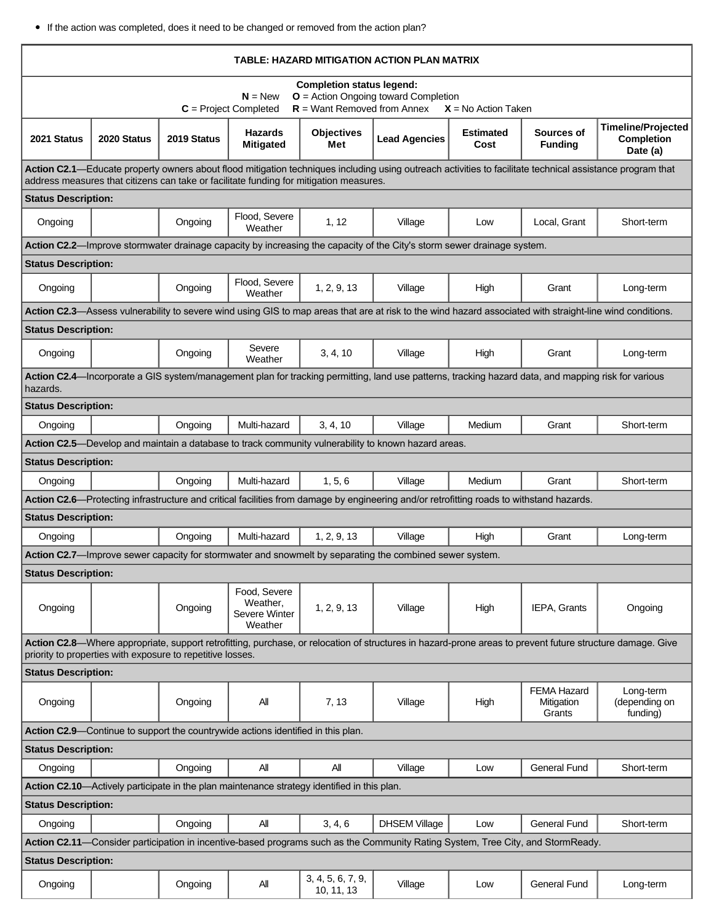If the action was completed, does it need to be changed or removed from the action plan?

| TABLE: HAZARD MITIGATION ACTION PLAN MATRIX                                                                                                                                                                                                         |                                                                                  |             |                                                      |                                 |                                                                                                                                                           |                          |                                            |                                                            |  |  |  |
|-----------------------------------------------------------------------------------------------------------------------------------------------------------------------------------------------------------------------------------------------------|----------------------------------------------------------------------------------|-------------|------------------------------------------------------|---------------------------------|-----------------------------------------------------------------------------------------------------------------------------------------------------------|--------------------------|--------------------------------------------|------------------------------------------------------------|--|--|--|
| <b>Completion status legend:</b><br>$O =$ Action Ongoing toward Completion<br>$N = New$<br>$R =$ Want Removed from Annex<br>$C = Project Completed$<br>$X = No$ Action Taken                                                                        |                                                                                  |             |                                                      |                                 |                                                                                                                                                           |                          |                                            |                                                            |  |  |  |
| 2021 Status                                                                                                                                                                                                                                         | 2020 Status                                                                      | 2019 Status | <b>Hazards</b><br><b>Mitigated</b>                   | <b>Objectives</b><br>Met        | <b>Lead Agencies</b>                                                                                                                                      | <b>Estimated</b><br>Cost | Sources of<br><b>Funding</b>               | <b>Timeline/Projected</b><br><b>Completion</b><br>Date (a) |  |  |  |
| Action C2.1—Educate property owners about flood mitigation techniques including using outreach activities to facilitate technical assistance program that<br>address measures that citizens can take or facilitate funding for mitigation measures. |                                                                                  |             |                                                      |                                 |                                                                                                                                                           |                          |                                            |                                                            |  |  |  |
| <b>Status Description:</b>                                                                                                                                                                                                                          |                                                                                  |             |                                                      |                                 |                                                                                                                                                           |                          |                                            |                                                            |  |  |  |
| Ongoing                                                                                                                                                                                                                                             |                                                                                  | Ongoing     | Flood, Severe<br>Weather                             | 1, 12                           | Village                                                                                                                                                   | Low                      | Local, Grant                               | Short-term                                                 |  |  |  |
|                                                                                                                                                                                                                                                     |                                                                                  |             |                                                      |                                 | Action C2.2—Improve stormwater drainage capacity by increasing the capacity of the City's storm sewer drainage system.                                    |                          |                                            |                                                            |  |  |  |
| <b>Status Description:</b>                                                                                                                                                                                                                          |                                                                                  |             |                                                      |                                 |                                                                                                                                                           |                          |                                            |                                                            |  |  |  |
| Ongoing                                                                                                                                                                                                                                             |                                                                                  | Ongoing     | Flood, Severe<br>Weather                             | 1, 2, 9, 13                     | Village                                                                                                                                                   | High                     | Grant                                      | Long-term                                                  |  |  |  |
|                                                                                                                                                                                                                                                     |                                                                                  |             |                                                      |                                 | Action C2.3—Assess vulnerability to severe wind using GIS to map areas that are at risk to the wind hazard associated with straight-line wind conditions. |                          |                                            |                                                            |  |  |  |
| <b>Status Description:</b>                                                                                                                                                                                                                          |                                                                                  |             |                                                      |                                 |                                                                                                                                                           |                          |                                            |                                                            |  |  |  |
| Ongoing                                                                                                                                                                                                                                             |                                                                                  | Ongoing     | Severe<br>Weather                                    | 3, 4, 10                        | Village                                                                                                                                                   | High                     | Grant                                      | Long-term                                                  |  |  |  |
| Action C2.4—Incorporate a GIS system/management plan for tracking permitting, land use patterns, tracking hazard data, and mapping risk for various<br>hazards.                                                                                     |                                                                                  |             |                                                      |                                 |                                                                                                                                                           |                          |                                            |                                                            |  |  |  |
| <b>Status Description:</b>                                                                                                                                                                                                                          |                                                                                  |             |                                                      |                                 |                                                                                                                                                           |                          |                                            |                                                            |  |  |  |
| Ongoing                                                                                                                                                                                                                                             |                                                                                  | Ongoing     | Multi-hazard                                         | 3, 4, 10                        | Village                                                                                                                                                   | Medium                   | Grant                                      | Short-term                                                 |  |  |  |
|                                                                                                                                                                                                                                                     |                                                                                  |             |                                                      |                                 | Action C2.5-Develop and maintain a database to track community vulnerability to known hazard areas.                                                       |                          |                                            |                                                            |  |  |  |
| <b>Status Description:</b>                                                                                                                                                                                                                          |                                                                                  |             |                                                      |                                 |                                                                                                                                                           |                          |                                            |                                                            |  |  |  |
| Ongoing                                                                                                                                                                                                                                             |                                                                                  | Ongoing     | Multi-hazard                                         | 1, 5, 6                         | Village                                                                                                                                                   | Medium                   | Grant                                      | Short-term                                                 |  |  |  |
|                                                                                                                                                                                                                                                     |                                                                                  |             |                                                      |                                 | Action C2.6—Protecting infrastructure and critical facilities from damage by engineering and/or retrofitting roads to withstand hazards.                  |                          |                                            |                                                            |  |  |  |
| <b>Status Description:</b>                                                                                                                                                                                                                          |                                                                                  |             |                                                      |                                 |                                                                                                                                                           |                          |                                            |                                                            |  |  |  |
| Ongoing                                                                                                                                                                                                                                             |                                                                                  | Ongoing     | Multi-hazard                                         | 1, 2, 9, 13                     | Village                                                                                                                                                   | High                     | Grant                                      | Long-term                                                  |  |  |  |
|                                                                                                                                                                                                                                                     |                                                                                  |             |                                                      |                                 | Action C2.7—Improve sewer capacity for stormwater and snowmelt by separating the combined sewer system.                                                   |                          |                                            |                                                            |  |  |  |
| <b>Status Description:</b>                                                                                                                                                                                                                          |                                                                                  |             |                                                      |                                 |                                                                                                                                                           |                          |                                            |                                                            |  |  |  |
| Ongoing                                                                                                                                                                                                                                             |                                                                                  | Ongoing     | Food, Severe<br>Weather.<br>Severe Winter<br>Weather | 1, 2, 9, 13                     | Village                                                                                                                                                   | High                     | IEPA, Grants                               | Ongoing                                                    |  |  |  |
| Action C2.8-Where appropriate, support retrofitting, purchase, or relocation of structures in hazard-prone areas to prevent future structure damage. Give<br>priority to properties with exposure to repetitive losses.                             |                                                                                  |             |                                                      |                                 |                                                                                                                                                           |                          |                                            |                                                            |  |  |  |
| <b>Status Description:</b>                                                                                                                                                                                                                          |                                                                                  |             |                                                      |                                 |                                                                                                                                                           |                          |                                            |                                                            |  |  |  |
| Ongoing                                                                                                                                                                                                                                             |                                                                                  | Ongoing     | All                                                  | 7, 13                           | Village                                                                                                                                                   | High                     | <b>FEMA Hazard</b><br>Mitigation<br>Grants | Long-term<br>(depending on<br>funding)                     |  |  |  |
|                                                                                                                                                                                                                                                     | Action C2.9—Continue to support the countrywide actions identified in this plan. |             |                                                      |                                 |                                                                                                                                                           |                          |                                            |                                                            |  |  |  |
| <b>Status Description:</b>                                                                                                                                                                                                                          |                                                                                  |             |                                                      |                                 |                                                                                                                                                           |                          |                                            |                                                            |  |  |  |
| Ongoing                                                                                                                                                                                                                                             |                                                                                  | Ongoing     | All                                                  | All                             | Village                                                                                                                                                   | Low                      | <b>General Fund</b>                        | Short-term                                                 |  |  |  |
| Action C2.10—Actively participate in the plan maintenance strategy identified in this plan.                                                                                                                                                         |                                                                                  |             |                                                      |                                 |                                                                                                                                                           |                          |                                            |                                                            |  |  |  |
| <b>Status Description:</b>                                                                                                                                                                                                                          |                                                                                  |             |                                                      |                                 |                                                                                                                                                           |                          |                                            |                                                            |  |  |  |
| Ongoing                                                                                                                                                                                                                                             |                                                                                  | Ongoing     | All                                                  | 3, 4, 6                         | <b>DHSEM Village</b>                                                                                                                                      | Low                      | General Fund                               | Short-term                                                 |  |  |  |
|                                                                                                                                                                                                                                                     |                                                                                  |             |                                                      |                                 | Action C2.11—Consider participation in incentive-based programs such as the Community Rating System, Tree City, and StormReady.                           |                          |                                            |                                                            |  |  |  |
| <b>Status Description:</b>                                                                                                                                                                                                                          |                                                                                  |             |                                                      |                                 |                                                                                                                                                           |                          |                                            |                                                            |  |  |  |
| Ongoing                                                                                                                                                                                                                                             |                                                                                  | Ongoing     | All                                                  | 3, 4, 5, 6, 7, 9,<br>10, 11, 13 | Village                                                                                                                                                   | Low                      | <b>General Fund</b>                        | Long-term                                                  |  |  |  |